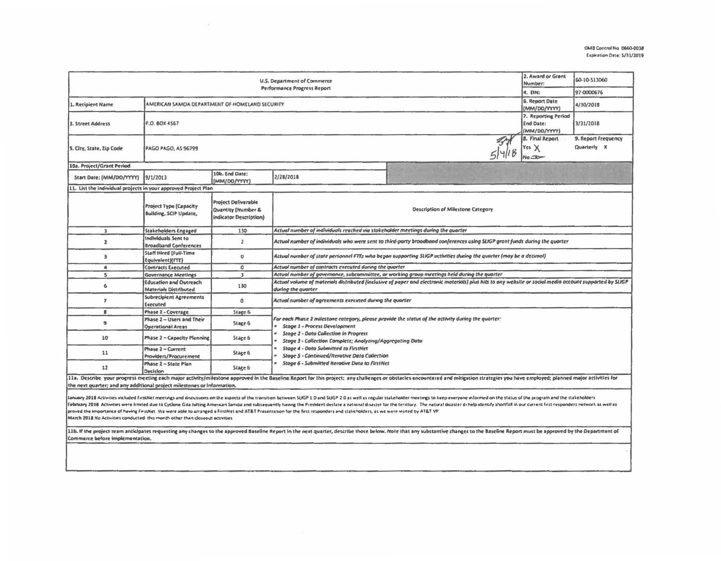| U.S. Department of Commerce<br>Performance Progress Report                                                                                                                                                                                                                                                                                                                                                                                                                                                                                                                                                                                                                                                                       |                                                               |                                                                            |                                                                                                                                                                                                                                           |  |                                                                  | 60-10-513060<br>97-0000676                |  |  |  |
|----------------------------------------------------------------------------------------------------------------------------------------------------------------------------------------------------------------------------------------------------------------------------------------------------------------------------------------------------------------------------------------------------------------------------------------------------------------------------------------------------------------------------------------------------------------------------------------------------------------------------------------------------------------------------------------------------------------------------------|---------------------------------------------------------------|----------------------------------------------------------------------------|-------------------------------------------------------------------------------------------------------------------------------------------------------------------------------------------------------------------------------------------|--|------------------------------------------------------------------|-------------------------------------------|--|--|--|
| 1. Recipient Name<br>AMERICAN SAMOA DEPARTMENT OF HOMELAND SECURITY                                                                                                                                                                                                                                                                                                                                                                                                                                                                                                                                                                                                                                                              |                                                               |                                                                            |                                                                                                                                                                                                                                           |  | 4. EIN:<br>6. Report Date                                        | 4/30/2018                                 |  |  |  |
| 3. Street Address                                                                                                                                                                                                                                                                                                                                                                                                                                                                                                                                                                                                                                                                                                                | P.O. BOX 4567                                                 |                                                                            |                                                                                                                                                                                                                                           |  | (MM/DD/YYYY)<br>7. Reporting Period<br>End Date:<br>(MM/DO/YYYY) | 3/31/2018                                 |  |  |  |
| 5. City, State, Zip Code                                                                                                                                                                                                                                                                                                                                                                                                                                                                                                                                                                                                                                                                                                         | <b>8. Final Report</b><br>Yes $\times$<br>PAGO PAGO, AS 96799 |                                                                            |                                                                                                                                                                                                                                           |  |                                                                  | 9. Report Frequency<br>Quarterly <b>X</b> |  |  |  |
| 10a. Project/Grant Period                                                                                                                                                                                                                                                                                                                                                                                                                                                                                                                                                                                                                                                                                                        |                                                               |                                                                            |                                                                                                                                                                                                                                           |  |                                                                  |                                           |  |  |  |
| Start Date: (MM/DD/YYYY)                                                                                                                                                                                                                                                                                                                                                                                                                                                                                                                                                                                                                                                                                                         | 9/1/2013                                                      | 10b. End Date:<br>(MM/00/WW)                                               | 2/28/2018                                                                                                                                                                                                                                 |  |                                                                  |                                           |  |  |  |
| 11. List the individual projects in your approved Project Plan                                                                                                                                                                                                                                                                                                                                                                                                                                                                                                                                                                                                                                                                   |                                                               |                                                                            |                                                                                                                                                                                                                                           |  |                                                                  |                                           |  |  |  |
|                                                                                                                                                                                                                                                                                                                                                                                                                                                                                                                                                                                                                                                                                                                                  | Project Type (Capacity<br>Building, SCIP Update,              | Project Deliverable<br>Quantity (Number &<br><b>Indicator Description)</b> | <b>Description of Milestone Category</b>                                                                                                                                                                                                  |  |                                                                  |                                           |  |  |  |
| 1                                                                                                                                                                                                                                                                                                                                                                                                                                                                                                                                                                                                                                                                                                                                | Stakeholders Engaged                                          | 130                                                                        | Actual number of individuals reached via stakeholder meetings during the quarter                                                                                                                                                          |  |                                                                  |                                           |  |  |  |
| $\overline{z}$                                                                                                                                                                                                                                                                                                                                                                                                                                                                                                                                                                                                                                                                                                                   | Individuals Sent to<br><b>Broadband Conferences</b>           | $\overline{\mathbf{z}}$                                                    | Actual number of individuals who were sent to third-party broodband conferences using SLKGP grant funds during the quarter                                                                                                                |  |                                                                  |                                           |  |  |  |
| 3                                                                                                                                                                                                                                                                                                                                                                                                                                                                                                                                                                                                                                                                                                                                | <b>Staff Hired (Full-Time</b><br>Equivalent)(FTE)             | $\mathbf{0}$                                                               | Actual number of state personnel FTEs who began supporting SLKGP uctivities during the quarter (may be a decimal)                                                                                                                         |  |                                                                  |                                           |  |  |  |
| 4                                                                                                                                                                                                                                                                                                                                                                                                                                                                                                                                                                                                                                                                                                                                | <b>Contracts Executed</b>                                     | ٥                                                                          | Actual number of contracts executed during the quorter                                                                                                                                                                                    |  |                                                                  |                                           |  |  |  |
| s                                                                                                                                                                                                                                                                                                                                                                                                                                                                                                                                                                                                                                                                                                                                | <b>Governance Meetings</b>                                    | $\mathbf{3}$                                                               | Actual number of governance, subcommittee, or working group meetings held during the quarter                                                                                                                                              |  |                                                                  |                                           |  |  |  |
| 6                                                                                                                                                                                                                                                                                                                                                                                                                                                                                                                                                                                                                                                                                                                                | <b>Education and Outreach</b><br>Materials Distributed        | 130                                                                        | Actual volume of materials distributed (inclusive of paper and electronic materials) plus hits to any website or social media account supported by SLKGP<br>during the quarter                                                            |  |                                                                  |                                           |  |  |  |
| $\overline{z}$                                                                                                                                                                                                                                                                                                                                                                                                                                                                                                                                                                                                                                                                                                                   | <b>Subrecipient Agreements</b><br>Executed                    | o                                                                          | Actual number of agreements executed during the quarter                                                                                                                                                                                   |  |                                                                  |                                           |  |  |  |
| ŝ                                                                                                                                                                                                                                                                                                                                                                                                                                                                                                                                                                                                                                                                                                                                | Phase 2 - Coverage                                            | Stage 6                                                                    |                                                                                                                                                                                                                                           |  |                                                                  |                                           |  |  |  |
| 9                                                                                                                                                                                                                                                                                                                                                                                                                                                                                                                                                                                                                                                                                                                                | Phase 2 - Users and Their<br><b>Operational Areas</b>         | Stage 6                                                                    | For each Phase 2 milestone category, please provide the status of the activity during the quarter:<br>Stage 1 - Process Development<br>Stage 2 - Data Collection in Progress<br>Stage 3 - Collection Complete; Analyting/Aggregating Data |  |                                                                  |                                           |  |  |  |
| 10                                                                                                                                                                                                                                                                                                                                                                                                                                                                                                                                                                                                                                                                                                                               | Phase 2 - Capacity Planning                                   | Stage 6                                                                    |                                                                                                                                                                                                                                           |  |                                                                  |                                           |  |  |  |
| 11                                                                                                                                                                                                                                                                                                                                                                                                                                                                                                                                                                                                                                                                                                                               | Phase 2 - Current<br>Providers/Procurement                    | Stage 6                                                                    | Stage 4 - Data Submitted to FirstNet<br><b>Stage S - Continued/Iterative Data Collection</b>                                                                                                                                              |  |                                                                  |                                           |  |  |  |
| 12                                                                                                                                                                                                                                                                                                                                                                                                                                                                                                                                                                                                                                                                                                                               | Phase 2 - State Plan<br>Decision                              | Stage 6                                                                    | Stage 6 - Submitted Rerative Data to FirstNet                                                                                                                                                                                             |  |                                                                  |                                           |  |  |  |
| 11a. Describe your progress meeting each major activity/milestone approved in the Baseline Report for this project; any challenges or obstacles encountered and mitigation strategies you have employed; planned major activit<br>the next quarter; and any additional project milestones or information.                                                                                                                                                                                                                                                                                                                                                                                                                        |                                                               |                                                                            |                                                                                                                                                                                                                                           |  |                                                                  |                                           |  |  |  |
| January 2018 Activities included FirstNet meetings and discussions on the aspects of the transition between SUGP 1.0 and SUGP 2.0 as well as regular stakeholder meetings to keep everyone informed on the status of the progr<br>February 2018. Activities were kinited due to Cyclone Gita bitting American Semia and subsequently having the President declare a national disaster for the territory. The natural disaster di help identify shortfall in our<br>proved the importance of having FirsUlet. We were able to arranged a FirstNet and AT&T Presentation for the first responders and stakeholders, as we were visited by AT&T VP.<br>March 2018 No Activities conducted this month other than closeout activities |                                                               |                                                                            |                                                                                                                                                                                                                                           |  |                                                                  |                                           |  |  |  |
| LIb. If the project team anticipates requesting any changes to the approved Baseline Report in the next quarter, describe those below. Note that any substantive changes to the Baseline Report must be approved by the Depart<br>Commerce before implementation.                                                                                                                                                                                                                                                                                                                                                                                                                                                                |                                                               |                                                                            |                                                                                                                                                                                                                                           |  |                                                                  |                                           |  |  |  |
|                                                                                                                                                                                                                                                                                                                                                                                                                                                                                                                                                                                                                                                                                                                                  |                                                               |                                                                            |                                                                                                                                                                                                                                           |  |                                                                  |                                           |  |  |  |

 $\sim$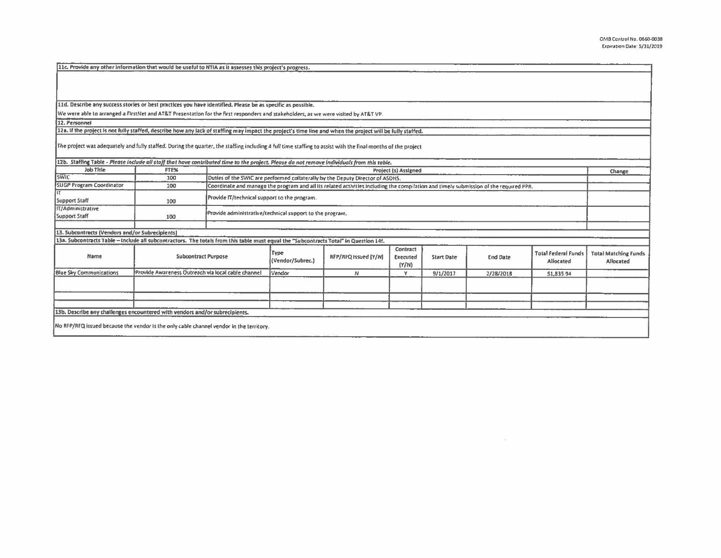|                                                                                                                                                              |                                                    | 11d. Describe any success stories or best practices you have identified. Please be as specific as possible.                                                |                                                                                                                                                                     |                             |                               |                   |                 |                                         |                                          |
|--------------------------------------------------------------------------------------------------------------------------------------------------------------|----------------------------------------------------|------------------------------------------------------------------------------------------------------------------------------------------------------------|---------------------------------------------------------------------------------------------------------------------------------------------------------------------|-----------------------------|-------------------------------|-------------------|-----------------|-----------------------------------------|------------------------------------------|
|                                                                                                                                                              |                                                    | We were able to arranged a FirstNet and AT&T Presentation for the first responders and stakeholders, as we were visited by AT&T VP.                        |                                                                                                                                                                     |                             |                               |                   |                 |                                         |                                          |
| 12. Personnel                                                                                                                                                |                                                    |                                                                                                                                                            |                                                                                                                                                                     |                             |                               |                   |                 |                                         |                                          |
|                                                                                                                                                              |                                                    | 12a. If the project is not fully staffed, describe how any lack of staffing may impact the project's time line and when the project will be fully staffed. |                                                                                                                                                                     |                             |                               |                   |                 |                                         |                                          |
| The project was adequately and fully staffed. During the quarter, the staffing including 4 full time staffing to assist with the final months of the project |                                                    |                                                                                                                                                            |                                                                                                                                                                     |                             |                               |                   |                 |                                         |                                          |
| Job Title                                                                                                                                                    | FTE%                                               |                                                                                                                                                            | 12b. Staffing Table - Please include all staff that have contributed time to the project. Please do not remove individuals from this table.<br>Project (s) Assigned |                             |                               |                   |                 |                                         | Change                                   |
| <b>SWIC</b>                                                                                                                                                  | 100                                                |                                                                                                                                                            | Duties of the SWIC are performed collaterally by the Deputy Director of ASDHS.                                                                                      |                             |                               |                   |                 |                                         |                                          |
| <b>SLIGP Program Coordinator</b>                                                                                                                             | 100                                                |                                                                                                                                                            | Coordinate and manage the program and all its related activities including the compilation and timely submission of the required PPR.                               |                             |                               |                   |                 |                                         |                                          |
| Support Staff                                                                                                                                                | 100                                                |                                                                                                                                                            | Provide IT/technical support to the program.                                                                                                                        |                             |                               |                   |                 |                                         |                                          |
| <b>IT/Administrative</b><br>Support Staff                                                                                                                    | 100                                                |                                                                                                                                                            | Provide administrative/technical support to the program.                                                                                                            |                             |                               |                   |                 |                                         |                                          |
| 13. Subcontracts (Vendors and/or Subrecipients)                                                                                                              |                                                    |                                                                                                                                                            |                                                                                                                                                                     |                             |                               |                   |                 |                                         |                                          |
| 13a. Subcontracts Table - Include all subcontractors. The totals from this table must equal the "Subcontracts Total" in Question 14f.                        |                                                    |                                                                                                                                                            |                                                                                                                                                                     |                             |                               |                   |                 |                                         |                                          |
| Name                                                                                                                                                         | <b>Subcontract Purpose</b>                         |                                                                                                                                                            | Type<br>(Vendor/Subrec.)                                                                                                                                            | <b>RFP/RFQ Issued (Y/N)</b> | Contract<br>Executed<br>(Y/N) | <b>Start Date</b> | <b>End Date</b> | <b>Total Federal Funds</b><br>Allocated | <b>Total Matching Funds</b><br>Allocated |
| <b>Blue Sky Communications</b>                                                                                                                               | Provide Awareness Outreach via local cable channel |                                                                                                                                                            | <i>Vendor</i>                                                                                                                                                       | N                           | Y                             | 9/1/2017          | 2/28/2018       | 51,835.94                               |                                          |
|                                                                                                                                                              |                                                    |                                                                                                                                                            |                                                                                                                                                                     |                             |                               |                   |                 |                                         |                                          |
|                                                                                                                                                              |                                                    |                                                                                                                                                            |                                                                                                                                                                     |                             |                               |                   |                 |                                         |                                          |
|                                                                                                                                                              |                                                    |                                                                                                                                                            |                                                                                                                                                                     |                             |                               |                   |                 |                                         |                                          |